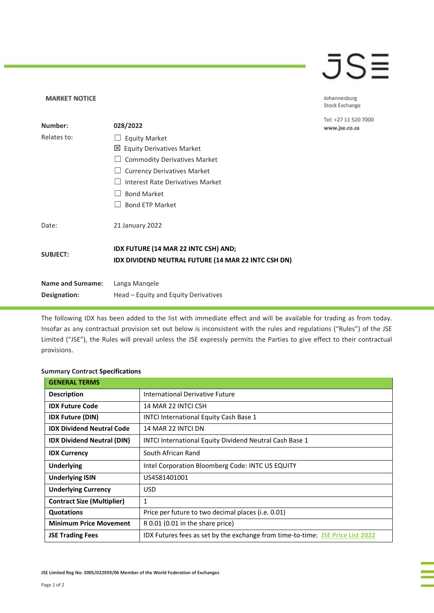## JSE

Johannesburg Stock Exchange

Tel: +27 11 520 7000 www.jse.co.za

| Number:                  | 028/2022                                                                                    |
|--------------------------|---------------------------------------------------------------------------------------------|
| Relates to:              | <b>Equity Market</b>                                                                        |
|                          | 凶 Equity Derivatives Market                                                                 |
|                          | <b>Commodity Derivatives Market</b>                                                         |
|                          | <b>Currency Derivatives Market</b>                                                          |
|                          | Interest Rate Derivatives Market                                                            |
|                          | <b>Bond Market</b>                                                                          |
|                          | <b>Bond ETP Market</b>                                                                      |
| Date:                    | 21 January 2022                                                                             |
| <b>SUBJECT:</b>          | IDX FUTURE (14 MAR 22 INTC CSH) AND;<br>IDX DIVIDEND NEUTRAL FUTURE (14 MAR 22 INTC CSH DN) |
| <b>Name and Surname:</b> | Langa Mangele                                                                               |
| Designation:             | Head – Equity and Equity Derivatives                                                        |

The following IDX has been added to the list with immediate effect and will be available for trading as from today. Insofar as any contractual provision set out below is inconsistent with the rules and regulations ("Rules") of the JSE Limited ("JSE"), the Rules will prevail unless the JSE expressly permits the Parties to give effect to their contractual provisions.

## **Summary Contract Specifications**

**MARKET NOTICE** 

| <b>GENERAL TERMS</b>              |                                                                                |
|-----------------------------------|--------------------------------------------------------------------------------|
| <b>Description</b>                | International Derivative Future                                                |
| <b>IDX Future Code</b>            | 14 MAR 22 INTCLCSH                                                             |
| <b>IDX Future (DIN)</b>           | INTCI International Equity Cash Base 1                                         |
| <b>IDX Dividend Neutral Code</b>  | 14 MAR 22 INTCL DN                                                             |
| <b>IDX Dividend Neutral (DIN)</b> | <b>INTCI International Equity Dividend Neutral Cash Base 1</b>                 |
| <b>IDX Currency</b>               | South African Rand                                                             |
| <b>Underlying</b>                 | Intel Corporation Bloomberg Code: INTC US EQUITY                               |
| <b>Underlying ISIN</b>            | US4581401001                                                                   |
| <b>Underlying Currency</b>        | <b>USD</b>                                                                     |
| <b>Contract Size (Multiplier)</b> | $\mathbf{1}$                                                                   |
| Quotations                        | Price per future to two decimal places (i.e. 0.01)                             |
| <b>Minimum Price Movement</b>     | R 0.01 (0.01 in the share price)                                               |
| <b>JSE Trading Fees</b>           | IDX Futures fees as set by the exchange from time-to-time: JSE Price List 2022 |

**JSE Limited Reg No: 2005/022939/06 Member of the World Federation of Exchanges**